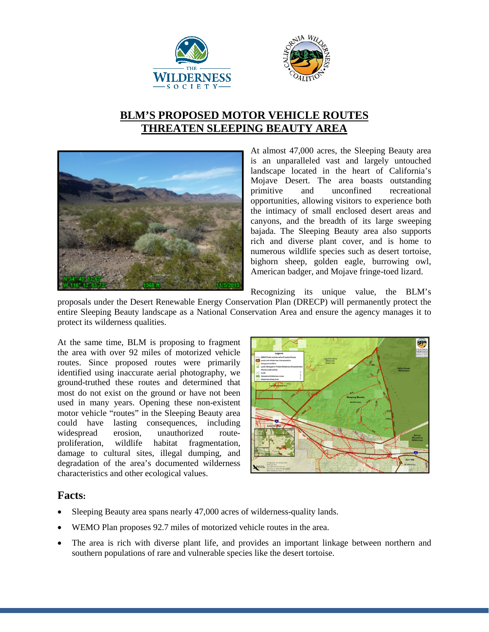



## **BLM'S PROPOSED MOTOR VEHICLE ROUTES THREATEN SLEEPING BEAUTY AREA**



At almost 47,000 acres, the Sleeping Beauty area is an unparalleled vast and largely untouched landscape located in the heart of California's Mojave Desert. The area boasts outstanding primitive and unconfined recreational opportunities, allowing visitors to experience both the intimacy of small enclosed desert areas and canyons, and the breadth of its large sweeping bajada. The Sleeping Beauty area also supports rich and diverse plant cover, and is home to numerous wildlife species such as desert tortoise, bighorn sheep, golden eagle, burrowing owl, American badger, and Mojave fringe-toed lizard.

Recognizing its unique value, the BLM's

proposals under the Desert Renewable Energy Conservation Plan (DRECP) will permanently protect the entire Sleeping Beauty landscape as a National Conservation Area and ensure the agency manages it to protect its wilderness qualities.

At the same time, BLM is proposing to fragment the area with over 92 miles of motorized vehicle routes. Since proposed routes were primarily identified using inaccurate aerial photography, we ground-truthed these routes and determined that most do not exist on the ground or have not been used in many years. Opening these non-existent motor vehicle "routes" in the Sleeping Beauty area could have lasting consequences, including widespread erosion, unauthorized route-<br>proliferation, wildlife habitat fragmentation, fragmentation, damage to cultural sites, illegal dumping, and degradation of the area's documented wilderness characteristics and other ecological values.



## **Facts:**

- Sleeping Beauty area spans nearly 47,000 acres of wilderness-quality lands.
- WEMO Plan proposes 92.7 miles of motorized vehicle routes in the area.
- The area is rich with diverse plant life, and provides an important linkage between northern and southern populations of rare and vulnerable species like the desert tortoise.